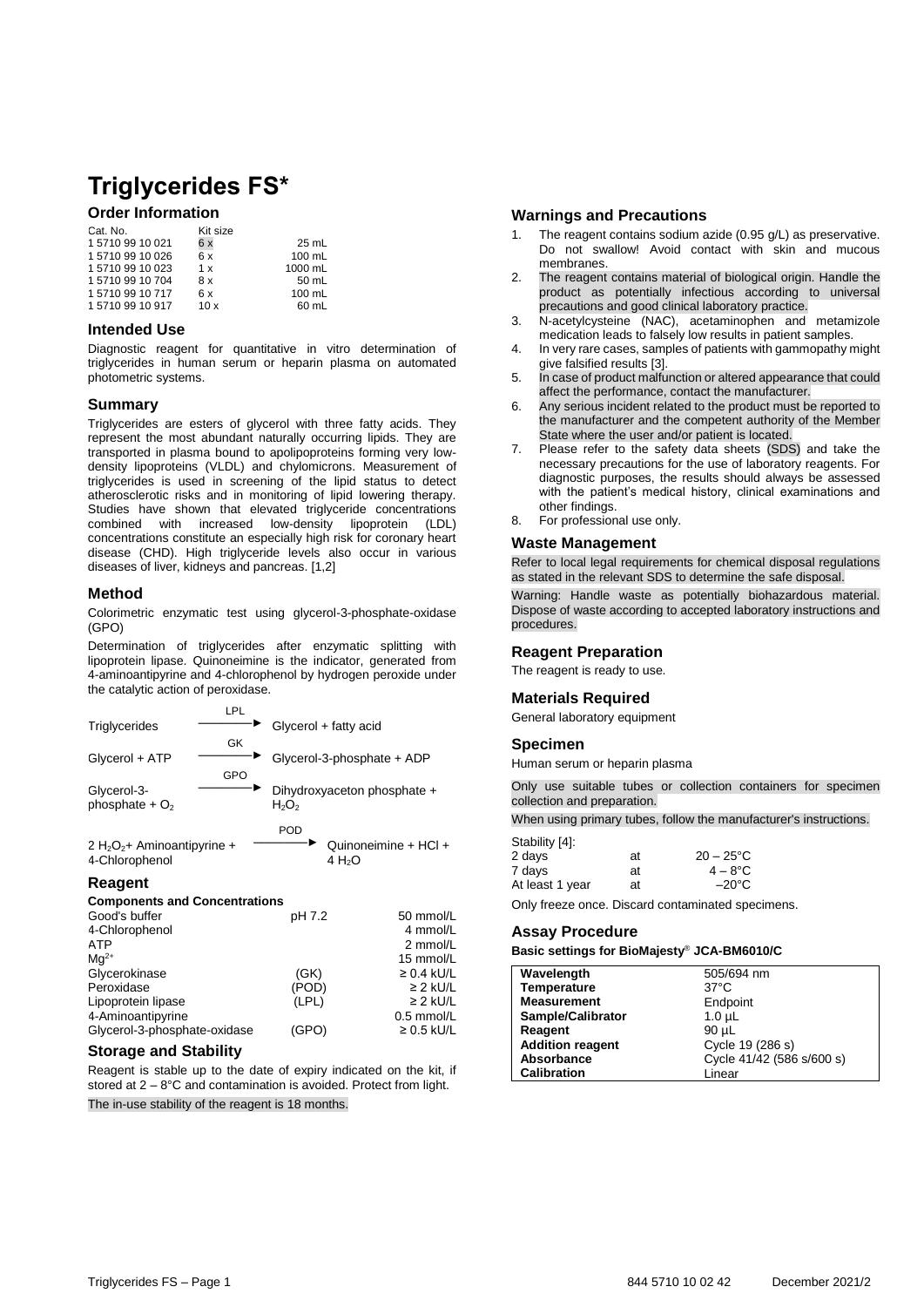# **Triglycerides FS\***

# **Order Information**

| Cat. No.     | Kit size |         |
|--------------|----------|---------|
| 157109910021 | 6x       | 25 mL   |
| 157109910026 | 6x       | 100 mL  |
| 157109910023 | 1 x      | 1000 mL |
| 157109910704 | 8 x      | 50 mL   |
| 157109910717 | 6x       | 100 mL  |
| 157109910917 | 10x      | 60 mL   |
|              |          |         |

#### **Intended Use**

Diagnostic reagent for quantitative in vitro determination of triglycerides in human serum or heparin plasma on automated photometric systems.

## **Summary**

Triglycerides are esters of glycerol with three fatty acids. They represent the most abundant naturally occurring lipids. They are transported in plasma bound to apolipoproteins forming very lowdensity lipoproteins (VLDL) and chylomicrons. Measurement of triglycerides is used in screening of the lipid status to detect atherosclerotic risks and in monitoring of lipid lowering therapy. Studies have shown that elevated triglyceride concentrations combined with increased low-density lipoprotein (LDL) concentrations constitute an especially high risk for coronary heart disease (CHD). High triglyceride levels also occur in various diseases of liver, kidneys and pancreas. [1,2]

## **Method**

Colorimetric enzymatic test using glycerol-3-phosphate-oxidase (GPO)

Determination of triglycerides after enzymatic splitting with lipoprotein lipase. Quinoneimine is the indicator, generated from 4-aminoantipyrine and 4-chlorophenol by hydrogen peroxide under the catalytic action of peroxidase.

|                                | LPL |                             |
|--------------------------------|-----|-----------------------------|
| Triglycerides                  |     | Glycerol + fatty acid       |
|                                | GK  |                             |
| Glycerol + ATP                 |     | Glycerol-3-phosphate + ADP  |
|                                | GPO |                             |
| Glycerol-3-                    |     | Dihydroxyaceton phosphate + |
| phosphate $+O2$                |     | $H_2O_2$                    |
|                                |     | <b>POD</b>                  |
|                                |     | Quinoneimine + HCl +        |
| 2 $H_2O_2$ + Aminoantipyrine + |     |                             |

 $4 H<sub>2</sub>O$ 

4-Chlorophenol

# **Reagent**

#### **Components and Concentrations**

| Good's buffer                | pH 7.2 | 50 mmol/L       |
|------------------------------|--------|-----------------|
| 4-Chlorophenol               |        | 4 mmol/L        |
| <b>ATP</b>                   |        | 2 mmol/L        |
| $Mq^{2+}$                    |        | 15 mmol/L       |
| Glycerokinase                | (GK)   | $\geq$ 0.4 kU/L |
| Peroxidase                   | (POD)  | $\geq$ 2 kU/L   |
| Lipoprotein lipase           | (LPL)  | $\geq$ 2 kU/L   |
| 4-Aminoantipyrine            |        | 0.5 mmol/L      |
| Glycerol-3-phosphate-oxidase | (GPO)  | $\geq 0.5$ kU/L |
|                              |        |                 |

#### **Storage and Stability**

Reagent is stable up to the date of expiry indicated on the kit, if stored at 2 – 8°C and contamination is avoided. Protect from light. The in-use stability of the reagent is 18 months.

#### **Warnings and Precautions**

- The reagent contains sodium azide (0.95 g/L) as preservative. Do not swallow! Avoid contact with skin and mucous membranes.
- 2. The reagent contains material of biological origin. Handle the product as potentially infectious according to universal precautions and good clinical laboratory practice.
- 3. N-acetylcysteine (NAC), acetaminophen and metamizole medication leads to falsely low results in patient samples.
- 4. In very rare cases, samples of patients with gammopathy might give falsified results [3].
- 5. In case of product malfunction or altered appearance that could affect the performance, contact the manufacturer.
- 6. Any serious incident related to the product must be reported to the manufacturer and the competent authority of the Member State where the user and/or patient is located.
- 7. Please refer to the safety data sheets (SDS) and take the necessary precautions for the use of laboratory reagents. For diagnostic purposes, the results should always be assessed with the patient's medical history, clinical examinations and other findings.
- 8. For professional use only.

#### **Waste Management**

Refer to local legal requirements for chemical disposal regulations as stated in the relevant SDS to determine the safe disposal.

Warning: Handle waste as potentially biohazardous material. Dispose of waste according to accepted laboratory instructions and procedures.

#### **Reagent Preparation**

The reagent is ready to use.

#### **Materials Required**

General laboratory equipment

#### **Specimen**

Human serum or heparin plasma

Only use suitable tubes or collection containers for specimen collection and preparation.

When using primary tubes, follow the manufacturer's instructions.

| Stability [4]:  |    |                     |
|-----------------|----|---------------------|
| 2 days          | at | $20 - 25^{\circ}$ C |
| 7 days          | at | $4 - 8^{\circ}$ C   |
| At least 1 year | at | $-20^{\circ}$ C     |

Only freeze once. Discard contaminated specimens.

#### **Assay Procedure**

#### **Basic settings for BioMajesty**® **JCA-BM6010/C**

| Wavelength              | 505/694 nm                |
|-------------------------|---------------------------|
| Temperature             | $37^{\circ}$ C            |
| <b>Measurement</b>      | Endpoint                  |
| Sample/Calibrator       | 1.0 <sub>µ</sub> L        |
| Reagent                 | 90 µL                     |
| <b>Addition reagent</b> | Cycle 19 (286 s)          |
| Absorbance              | Cycle 41/42 (586 s/600 s) |
| <b>Calibration</b>      | Linear                    |